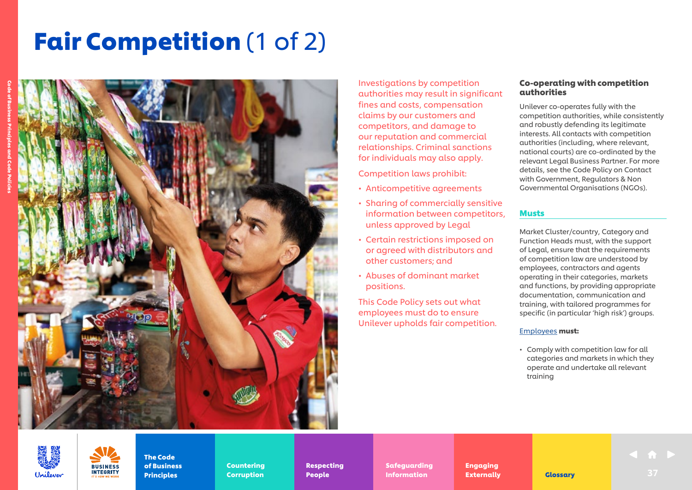# **Fair Competition** (1 of 2)



Investigations by competition authorities may result in significant fines and costs, compensation claims by our customers and competitors, and damage to our reputation and commercial relationships. Criminal sanctions for individuals may also apply.

Competition laws prohibit:

- Anticompetitive agreements
- Sharing of commercially sensitive information between competitors, unless approved by Legal
- Certain restrictions imposed on or agreed with distributors and other customers; and
- Abuses of dominant market positions.

This Code Policy sets out what employees must do to ensure Unilever upholds fair competition.

### Co-operating with competition authorities

Unilever co-operates fully with the competition authorities, while consistently and robustly defending its legitimate interests. All contacts with competition authorities (including, where relevant, national courts) are co-ordinated by the relevant Legal Business Partner. For more details, see the Code Policy on Contact with Government, Regulators & Non Governmental Organisations (NGOs).

### Musts

Market Cluster/country, Category and Function Heads must, with the support of Legal, ensure that the requirements of competition law are understood by employees, contractors and agents operating in their categories, markets and functions, by providing appropriate documentation, communication and training, with tailored programmes for specific (in particular 'high risk') groups.

### [Employees](https://unilever.sharepoint.com/:b:/s/Code%20and%20Code%20Policies/EdzBsjeFnGhEr7DcM2GrA5gBpFG3-zoytb8kb7YpAEwF1A?e=9pNGFV) must:

• Comply with competition law for all categories and markets in which they operate and undertake all relevant training



The Code of Business Principles

**BUSINESS INTEGRITY** 

Countering Countering Corruption Corruption

Respecting Respecting Safeguarding Safeguarding

People People

Engaging Engaging Externally Externally **Indian Externally Clossary 1988** 37 Information Externally **Glossary** 37